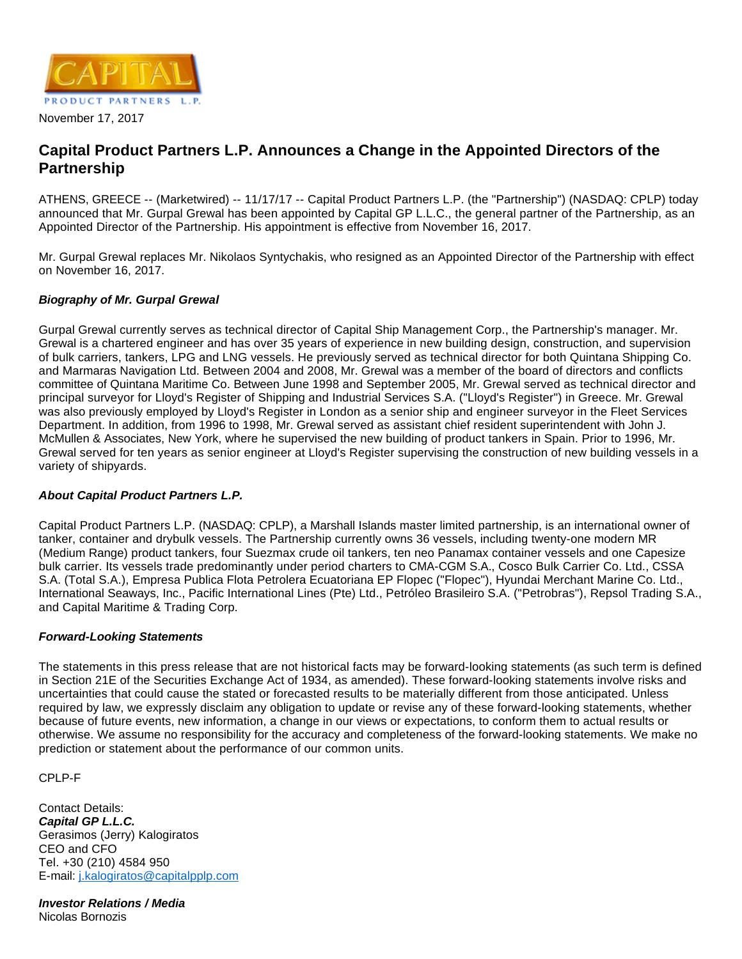

## **Capital Product Partners L.P. Announces a Change in the Appointed Directors of the Partnership**

ATHENS, GREECE -- (Marketwired) -- 11/17/17 -- Capital Product Partners L.P. (the "Partnership") (NASDAQ: CPLP) today announced that Mr. Gurpal Grewal has been appointed by Capital GP L.L.C., the general partner of the Partnership, as an Appointed Director of the Partnership. His appointment is effective from November 16, 2017.

Mr. Gurpal Grewal replaces Mr. Nikolaos Syntychakis, who resigned as an Appointed Director of the Partnership with effect on November 16, 2017.

## **Biography of Mr. Gurpal Grewal**

Gurpal Grewal currently serves as technical director of Capital Ship Management Corp., the Partnership's manager. Mr. Grewal is a chartered engineer and has over 35 years of experience in new building design, construction, and supervision of bulk carriers, tankers, LPG and LNG vessels. He previously served as technical director for both Quintana Shipping Co. and Marmaras Navigation Ltd. Between 2004 and 2008, Mr. Grewal was a member of the board of directors and conflicts committee of Quintana Maritime Co. Between June 1998 and September 2005, Mr. Grewal served as technical director and principal surveyor for Lloyd's Register of Shipping and Industrial Services S.A. ("Lloyd's Register") in Greece. Mr. Grewal was also previously employed by Lloyd's Register in London as a senior ship and engineer surveyor in the Fleet Services Department. In addition, from 1996 to 1998, Mr. Grewal served as assistant chief resident superintendent with John J. McMullen & Associates, New York, where he supervised the new building of product tankers in Spain. Prior to 1996, Mr. Grewal served for ten years as senior engineer at Lloyd's Register supervising the construction of new building vessels in a variety of shipyards.

## **About Capital Product Partners L.P.**

Capital Product Partners L.P. (NASDAQ: CPLP), a Marshall Islands master limited partnership, is an international owner of tanker, container and drybulk vessels. The Partnership currently owns 36 vessels, including twenty-one modern MR (Medium Range) product tankers, four Suezmax crude oil tankers, ten neo Panamax container vessels and one Capesize bulk carrier. Its vessels trade predominantly under period charters to CMA-CGM S.A., Cosco Bulk Carrier Co. Ltd., CSSA S.A. (Total S.A.), Empresa Publica Flota Petrolera Ecuatoriana EP Flopec ("Flopec"), Hyundai Merchant Marine Co. Ltd., International Seaways, Inc., Pacific International Lines (Pte) Ltd., Petróleo Brasileiro S.A. ("Petrobras"), Repsol Trading S.A., and Capital Maritime & Trading Corp.

## **Forward-Looking Statements**

The statements in this press release that are not historical facts may be forward-looking statements (as such term is defined in Section 21E of the Securities Exchange Act of 1934, as amended). These forward-looking statements involve risks and uncertainties that could cause the stated or forecasted results to be materially different from those anticipated. Unless required by law, we expressly disclaim any obligation to update or revise any of these forward-looking statements, whether because of future events, new information, a change in our views or expectations, to conform them to actual results or otherwise. We assume no responsibility for the accuracy and completeness of the forward-looking statements. We make no prediction or statement about the performance of our common units.

CPLP-F

Contact Details: **Capital GP L.L.C.** Gerasimos (Jerry) Kalogiratos CEO and CFO Tel. +30 (210) 4584 950 E-mail: [j.kalogiratos@capitalpplp.com](mailto:j.kalogiratos@capitalpplp.com)

**Investor Relations / Media** Nicolas Bornozis